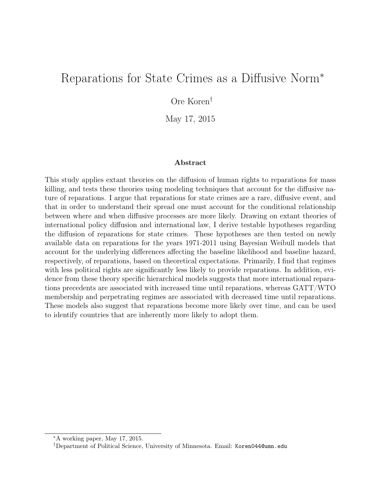# Reparations for State Crimes as a Diffusive Norm<sup>∗</sup>

Ore Koren†

May 17, 2015

#### Abstract

This study applies extant theories on the diffusion of human rights to reparations for mass killing, and tests these theories using modeling techniques that account for the diffusive nature of reparations. I argue that reparations for state crimes are a rare, diffusive event, and that in order to understand their spread one must account for the conditional relationship between where and when diffusive processes are more likely. Drawing on extant theories of international policy diffusion and international law, I derive testable hypotheses regarding the diffusion of reparations for state crimes. These hypotheses are then tested on newly available data on reparations for the years 1971-2011 using Bayesian Weibull models that account for the underlying differences affecting the baseline likelihood and baseline hazard, respectively, of reparations, based on theoretical expectations. Primarily, I find that regimes with less political rights are significantly less likely to provide reparations. In addition, evidence from these theory specific hierarchical models suggests that more international reparations precedents are associated with increased time until reparations, whereas GATT/WTO membership and perpetrating regimes are associated with decreased time until reparations. These models also suggest that reparations become more likely over time, and can be used to identify countries that are inherently more likely to adopt them.

<sup>∗</sup>A working paper, May 17, 2015.

<sup>†</sup>Department of Political Science, University of Minnesota. Email: Koren044@umn.edu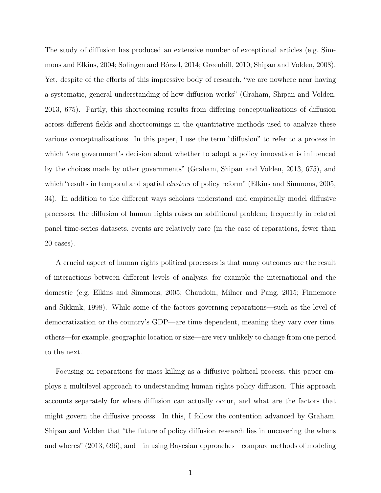The study of diffusion has produced an extensive number of exceptional articles (e.g. Simmons and Elkins, 2004; Solingen and Bórzel, 2014; Greenhill, 2010; Shipan and Volden, 2008). Yet, despite of the efforts of this impressive body of research, "we are nowhere near having a systematic, general understanding of how diffusion works" (Graham, Shipan and Volden, 2013, 675). Partly, this shortcoming results from differing conceptualizations of diffusion across different fields and shortcomings in the quantitative methods used to analyze these various conceptualizations. In this paper, I use the term "diffusion" to refer to a process in which "one government's decision about whether to adopt a policy innovation is influenced by the choices made by other governments" (Graham, Shipan and Volden, 2013, 675), and which "results in temporal and spatial *clusters* of policy reform" (Elkins and Simmons, 2005, 34). In addition to the different ways scholars understand and empirically model diffusive processes, the diffusion of human rights raises an additional problem; frequently in related panel time-series datasets, events are relatively rare (in the case of reparations, fewer than 20 cases).

A crucial aspect of human rights political processes is that many outcomes are the result of interactions between different levels of analysis, for example the international and the domestic (e.g. Elkins and Simmons, 2005; Chaudoin, Milner and Pang, 2015; Finnemore and Sikkink, 1998). While some of the factors governing reparations—such as the level of democratization or the country's GDP—are time dependent, meaning they vary over time, others—for example, geographic location or size—are very unlikely to change from one period to the next.

Focusing on reparations for mass killing as a diffusive political process, this paper employs a multilevel approach to understanding human rights policy diffusion. This approach accounts separately for where diffusion can actually occur, and what are the factors that might govern the diffusive process. In this, I follow the contention advanced by Graham, Shipan and Volden that "the future of policy diffusion research lies in uncovering the whens and wheres" (2013, 696), and—in using Bayesian approaches—compare methods of modeling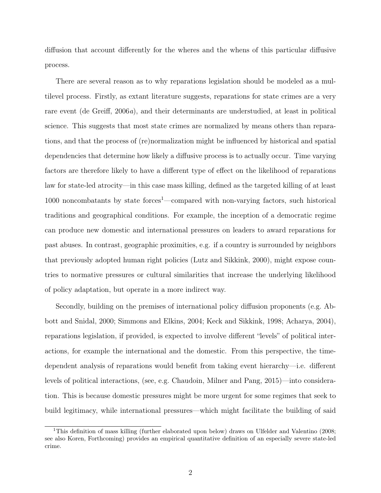diffusion that account differently for the wheres and the whens of this particular diffusive process.

There are several reason as to why reparations legislation should be modeled as a multilevel process. Firstly, as extant literature suggests, reparations for state crimes are a very rare event (de Greiff, 2006a), and their determinants are understudied, at least in political science. This suggests that most state crimes are normalized by means others than reparations, and that the process of (re)normalization might be influenced by historical and spatial dependencies that determine how likely a diffusive process is to actually occur. Time varying factors are therefore likely to have a different type of effect on the likelihood of reparations law for state-led atrocity—in this case mass killing, defined as the targeted killing of at least 1000 noncombatants by state forces<sup>1</sup>—compared with non-varying factors, such historical traditions and geographical conditions. For example, the inception of a democratic regime can produce new domestic and international pressures on leaders to award reparations for past abuses. In contrast, geographic proximities, e.g. if a country is surrounded by neighbors that previously adopted human right policies (Lutz and Sikkink, 2000), might expose countries to normative pressures or cultural similarities that increase the underlying likelihood of policy adaptation, but operate in a more indirect way.

Secondly, building on the premises of international policy diffusion proponents (e.g. Abbott and Snidal, 2000; Simmons and Elkins, 2004; Keck and Sikkink, 1998; Acharya, 2004), reparations legislation, if provided, is expected to involve different "levels" of political interactions, for example the international and the domestic. From this perspective, the timedependent analysis of reparations would benefit from taking event hierarchy—i.e. different levels of political interactions, (see, e.g. Chaudoin, Milner and Pang, 2015)—into consideration. This is because domestic pressures might be more urgent for some regimes that seek to build legitimacy, while international pressures—which might facilitate the building of said

<sup>&</sup>lt;sup>1</sup>This definition of mass killing (further elaborated upon below) draws on Ulfelder and Valentino (2008; see also Koren, Forthcoming) provides an empirical quantitative definition of an especially severe state-led crime.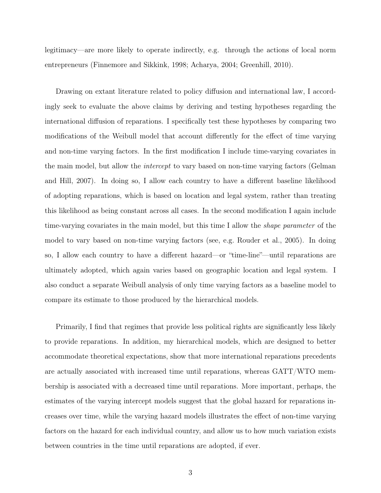legitimacy—are more likely to operate indirectly, e.g. through the actions of local norm entrepreneurs (Finnemore and Sikkink, 1998; Acharya, 2004; Greenhill, 2010).

Drawing on extant literature related to policy diffusion and international law, I accordingly seek to evaluate the above claims by deriving and testing hypotheses regarding the international diffusion of reparations. I specifically test these hypotheses by comparing two modifications of the Weibull model that account differently for the effect of time varying and non-time varying factors. In the first modification I include time-varying covariates in the main model, but allow the intercept to vary based on non-time varying factors (Gelman and Hill, 2007). In doing so, I allow each country to have a different baseline likelihood of adopting reparations, which is based on location and legal system, rather than treating this likelihood as being constant across all cases. In the second modification I again include time-varying covariates in the main model, but this time I allow the shape parameter of the model to vary based on non-time varying factors (see, e.g. Rouder et al., 2005). In doing so, I allow each country to have a different hazard—or "time-line"—until reparations are ultimately adopted, which again varies based on geographic location and legal system. I also conduct a separate Weibull analysis of only time varying factors as a baseline model to compare its estimate to those produced by the hierarchical models.

Primarily, I find that regimes that provide less political rights are significantly less likely to provide reparations. In addition, my hierarchical models, which are designed to better accommodate theoretical expectations, show that more international reparations precedents are actually associated with increased time until reparations, whereas GATT/WTO membership is associated with a decreased time until reparations. More important, perhaps, the estimates of the varying intercept models suggest that the global hazard for reparations increases over time, while the varying hazard models illustrates the effect of non-time varying factors on the hazard for each individual country, and allow us to how much variation exists between countries in the time until reparations are adopted, if ever.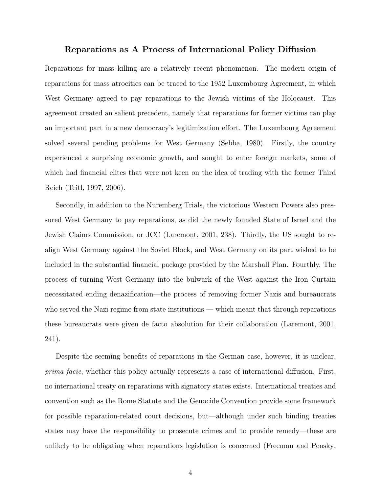## Reparations as A Process of International Policy Diffusion

Reparations for mass killing are a relatively recent phenomenon. The modern origin of reparations for mass atrocities can be traced to the 1952 Luxembourg Agreement, in which West Germany agreed to pay reparations to the Jewish victims of the Holocaust. This agreement created an salient precedent, namely that reparations for former victims can play an important part in a new democracy's legitimization effort. The Luxembourg Agreement solved several pending problems for West Germany (Sebba, 1980). Firstly, the country experienced a surprising economic growth, and sought to enter foreign markets, some of which had financial elites that were not keen on the idea of trading with the former Third Reich (Teitl, 1997, 2006).

Secondly, in addition to the Nuremberg Trials, the victorious Western Powers also pressured West Germany to pay reparations, as did the newly founded State of Israel and the Jewish Claims Commission, or JCC (Laremont, 2001, 238). Thirdly, the US sought to realign West Germany against the Soviet Block, and West Germany on its part wished to be included in the substantial financial package provided by the Marshall Plan. Fourthly, The process of turning West Germany into the bulwark of the West against the Iron Curtain necessitated ending denazification—the process of removing former Nazis and bureaucrats who served the Nazi regime from state institutions — which meant that through reparations these bureaucrats were given de facto absolution for their collaboration (Laremont, 2001, 241).

Despite the seeming benefits of reparations in the German case, however, it is unclear, prima facie, whether this policy actually represents a case of international diffusion. First, no international treaty on reparations with signatory states exists. International treaties and convention such as the Rome Statute and the Genocide Convention provide some framework for possible reparation-related court decisions, but—although under such binding treaties states may have the responsibility to prosecute crimes and to provide remedy—these are unlikely to be obligating when reparations legislation is concerned (Freeman and Pensky,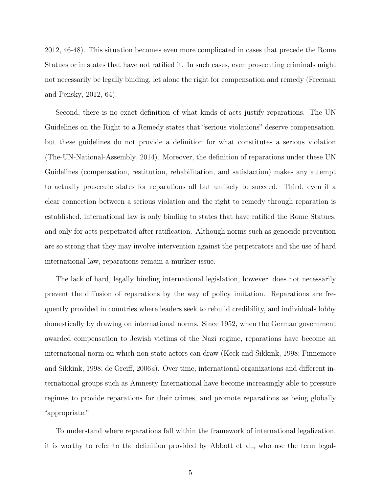2012, 46-48). This situation becomes even more complicated in cases that precede the Rome Statues or in states that have not ratified it. In such cases, even prosecuting criminals might not necessarily be legally binding, let alone the right for compensation and remedy (Freeman and Pensky, 2012, 64).

Second, there is no exact definition of what kinds of acts justify reparations. The UN Guidelines on the Right to a Remedy states that "serious violations" deserve compensation, but these guidelines do not provide a definition for what constitutes a serious violation (The-UN-National-Assembly, 2014). Moreover, the definition of reparations under these UN Guidelines (compensation, restitution, rehabilitation, and satisfaction) makes any attempt to actually prosecute states for reparations all but unlikely to succeed. Third, even if a clear connection between a serious violation and the right to remedy through reparation is established, international law is only binding to states that have ratified the Rome Statues, and only for acts perpetrated after ratification. Although norms such as genocide prevention are so strong that they may involve intervention against the perpetrators and the use of hard international law, reparations remain a murkier issue.

The lack of hard, legally binding international legislation, however, does not necessarily prevent the diffusion of reparations by the way of policy imitation. Reparations are frequently provided in countries where leaders seek to rebuild credibility, and individuals lobby domestically by drawing on international norms. Since 1952, when the German government awarded compensation to Jewish victims of the Nazi regime, reparations have become an international norm on which non-state actors can draw (Keck and Sikkink, 1998; Finnemore and Sikkink, 1998; de Greiff, 2006a). Over time, international organizations and different international groups such as Amnesty International have become increasingly able to pressure regimes to provide reparations for their crimes, and promote reparations as being globally "appropriate."

To understand where reparations fall within the framework of international legalization, it is worthy to refer to the definition provided by Abbott et al., who use the term legal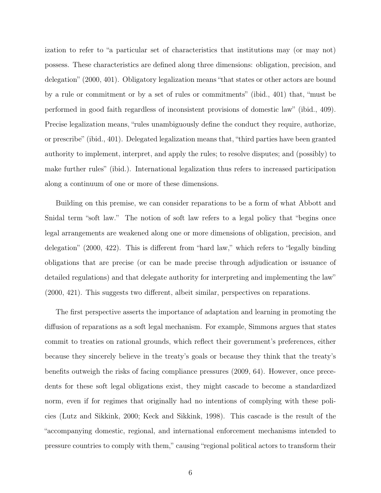ization to refer to "a particular set of characteristics that institutions may (or may not) possess. These characteristics are defined along three dimensions: obligation, precision, and delegation" (2000, 401). Obligatory legalization means "that states or other actors are bound by a rule or commitment or by a set of rules or commitments" (ibid., 401) that, "must be performed in good faith regardless of inconsistent provisions of domestic law" (ibid., 409). Precise legalization means, "rules unambiguously define the conduct they require, authorize, or prescribe" (ibid., 401). Delegated legalization means that, "third parties have been granted authority to implement, interpret, and apply the rules; to resolve disputes; and (possibly) to make further rules" (ibid.). International legalization thus refers to increased participation along a continuum of one or more of these dimensions.

Building on this premise, we can consider reparations to be a form of what Abbott and Snidal term "soft law." The notion of soft law refers to a legal policy that "begins once legal arrangements are weakened along one or more dimensions of obligation, precision, and delegation" (2000, 422). This is different from "hard law," which refers to "legally binding obligations that are precise (or can be made precise through adjudication or issuance of detailed regulations) and that delegate authority for interpreting and implementing the law" (2000, 421). This suggests two different, albeit similar, perspectives on reparations.

The first perspective asserts the importance of adaptation and learning in promoting the diffusion of reparations as a soft legal mechanism. For example, Simmons argues that states commit to treaties on rational grounds, which reflect their government's preferences, either because they sincerely believe in the treaty's goals or because they think that the treaty's benefits outweigh the risks of facing compliance pressures (2009, 64). However, once precedents for these soft legal obligations exist, they might cascade to become a standardized norm, even if for regimes that originally had no intentions of complying with these policies (Lutz and Sikkink, 2000; Keck and Sikkink, 1998). This cascade is the result of the "accompanying domestic, regional, and international enforcement mechanisms intended to pressure countries to comply with them," causing "regional political actors to transform their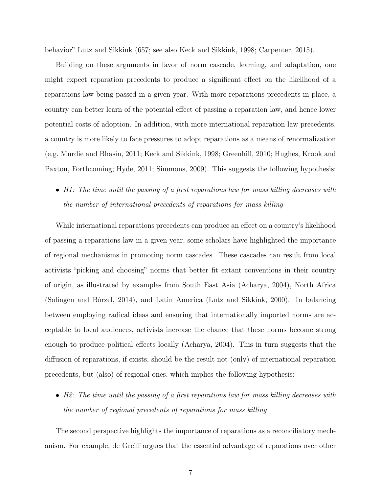behavior" Lutz and Sikkink (657; see also Keck and Sikkink, 1998; Carpenter, 2015).

Building on these arguments in favor of norm cascade, learning, and adaptation, one might expect reparation precedents to produce a significant effect on the likelihood of a reparations law being passed in a given year. With more reparations precedents in place, a country can better learn of the potential effect of passing a reparation law, and hence lower potential costs of adoption. In addition, with more international reparation law precedents, a country is more likely to face pressures to adopt reparations as a means of renormalization (e.g. Murdie and Bhasin, 2011; Keck and Sikkink, 1998; Greenhill, 2010; Hughes, Krook and Paxton, Forthcoming; Hyde, 2011; Simmons, 2009). This suggests the following hypothesis:

## • H1: The time until the passing of a first reparations law for mass killing decreases with the number of international precedents of reparations for mass killing

While international reparations precedents can produce an effect on a country's likelihood of passing a reparations law in a given year, some scholars have highlighted the importance of regional mechanisms in promoting norm cascades. These cascades can result from local activists "picking and choosing" norms that better fit extant conventions in their country of origin, as illustrated by examples from South East Asia (Acharya, 2004), North Africa (Solingen and Bórzel, 2014), and Latin America (Lutz and Sikkink, 2000). In balancing between employing radical ideas and ensuring that internationally imported norms are acceptable to local audiences, activists increase the chance that these norms become strong enough to produce political effects locally (Acharya, 2004). This in turn suggests that the diffusion of reparations, if exists, should be the result not (only) of international reparation precedents, but (also) of regional ones, which implies the following hypothesis:

• H2: The time until the passing of a first reparations law for mass killing decreases with the number of regional precedents of reparations for mass killing

The second perspective highlights the importance of reparations as a reconciliatory mechanism. For example, de Greiff argues that the essential advantage of reparations over other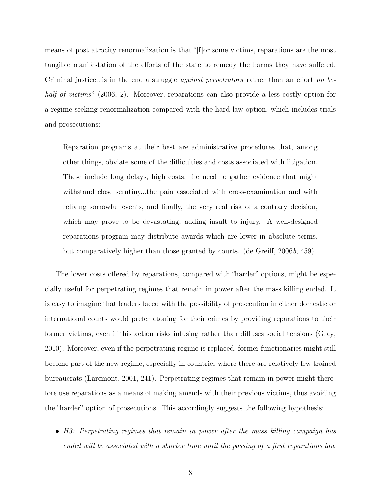means of post atrocity renormalization is that "[f]or some victims, reparations are the most tangible manifestation of the efforts of the state to remedy the harms they have suffered. Criminal justice... is in the end a struggle *against perpetrators* rather than an effort on behalf of victims" (2006, 2). Moreover, reparations can also provide a less costly option for a regime seeking renormalization compared with the hard law option, which includes trials and prosecutions:

Reparation programs at their best are administrative procedures that, among other things, obviate some of the difficulties and costs associated with litigation. These include long delays, high costs, the need to gather evidence that might withstand close scrutiny...the pain associated with cross-examination and with reliving sorrowful events, and finally, the very real risk of a contrary decision, which may prove to be devastating, adding insult to injury. A well-designed reparations program may distribute awards which are lower in absolute terms, but comparatively higher than those granted by courts. (de Greiff, 2006b, 459)

The lower costs offered by reparations, compared with "harder" options, might be especially useful for perpetrating regimes that remain in power after the mass killing ended. It is easy to imagine that leaders faced with the possibility of prosecution in either domestic or international courts would prefer atoning for their crimes by providing reparations to their former victims, even if this action risks infusing rather than diffuses social tensions (Gray, 2010). Moreover, even if the perpetrating regime is replaced, former functionaries might still become part of the new regime, especially in countries where there are relatively few trained bureaucrats (Laremont, 2001, 241). Perpetrating regimes that remain in power might therefore use reparations as a means of making amends with their previous victims, thus avoiding the "harder" option of prosecutions. This accordingly suggests the following hypothesis:

• H3: Perpetrating regimes that remain in power after the mass killing campaign has ended will be associated with a shorter time until the passing of a first reparations law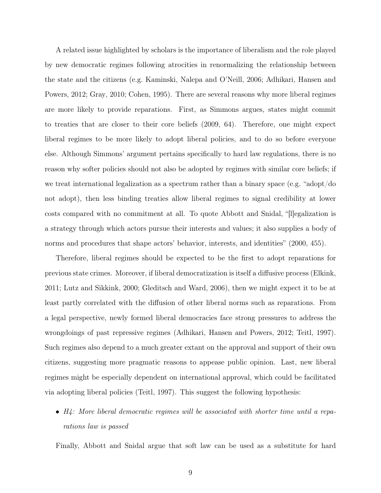A related issue highlighted by scholars is the importance of liberalism and the role played by new democratic regimes following atrocities in renormalizing the relationship between the state and the citizens (e.g. Kaminski, Nalepa and O'Neill, 2006; Adhikari, Hansen and Powers, 2012; Gray, 2010; Cohen, 1995). There are several reasons why more liberal regimes are more likely to provide reparations. First, as Simmons argues, states might commit to treaties that are closer to their core beliefs (2009, 64). Therefore, one might expect liberal regimes to be more likely to adopt liberal policies, and to do so before everyone else. Although Simmons' argument pertains specifically to hard law regulations, there is no reason why softer policies should not also be adopted by regimes with similar core beliefs; if we treat international legalization as a spectrum rather than a binary space (e.g. "adopt/do not adopt), then less binding treaties allow liberal regimes to signal credibility at lower costs compared with no commitment at all. To quote Abbott and Snidal, "[l]egalization is a strategy through which actors pursue their interests and values; it also supplies a body of norms and procedures that shape actors' behavior, interests, and identities" (2000, 455).

Therefore, liberal regimes should be expected to be the first to adopt reparations for previous state crimes. Moreover, if liberal democratization is itself a diffusive process (Elkink, 2011; Lutz and Sikkink, 2000; Gleditsch and Ward, 2006), then we might expect it to be at least partly correlated with the diffusion of other liberal norms such as reparations. From a legal perspective, newly formed liberal democracies face strong pressures to address the wrongdoings of past repressive regimes (Adhikari, Hansen and Powers, 2012; Teitl, 1997). Such regimes also depend to a much greater extant on the approval and support of their own citizens, suggesting more pragmatic reasons to appease public opinion. Last, new liberal regimes might be especially dependent on international approval, which could be facilitated via adopting liberal policies (Teitl, 1997). This suggest the following hypothesis:

• H4: More liberal democratic regimes will be associated with shorter time until a reparations law is passed

Finally, Abbott and Snidal argue that soft law can be used as a substitute for hard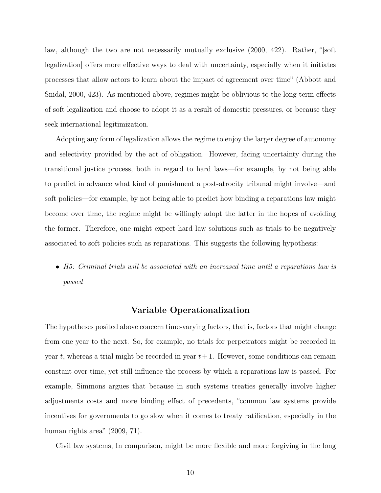law, although the two are not necessarily mutually exclusive (2000, 422). Rather, "[soft legalization] offers more effective ways to deal with uncertainty, especially when it initiates processes that allow actors to learn about the impact of agreement over time" (Abbott and Snidal, 2000, 423). As mentioned above, regimes might be oblivious to the long-term effects of soft legalization and choose to adopt it as a result of domestic pressures, or because they seek international legitimization.

Adopting any form of legalization allows the regime to enjoy the larger degree of autonomy and selectivity provided by the act of obligation. However, facing uncertainty during the transitional justice process, both in regard to hard laws—for example, by not being able to predict in advance what kind of punishment a post-atrocity tribunal might involve—and soft policies—for example, by not being able to predict how binding a reparations law might become over time, the regime might be willingly adopt the latter in the hopes of avoiding the former. Therefore, one might expect hard law solutions such as trials to be negatively associated to soft policies such as reparations. This suggests the following hypothesis:

• H5: Criminal trials will be associated with an increased time until a reparations law is passed

### Variable Operationalization

The hypotheses posited above concern time-varying factors, that is, factors that might change from one year to the next. So, for example, no trials for perpetrators might be recorded in year t, whereas a trial might be recorded in year  $t+1$ . However, some conditions can remain constant over time, yet still influence the process by which a reparations law is passed. For example, Simmons argues that because in such systems treaties generally involve higher adjustments costs and more binding effect of precedents, "common law systems provide incentives for governments to go slow when it comes to treaty ratification, especially in the human rights area" (2009, 71).

Civil law systems, In comparison, might be more flexible and more forgiving in the long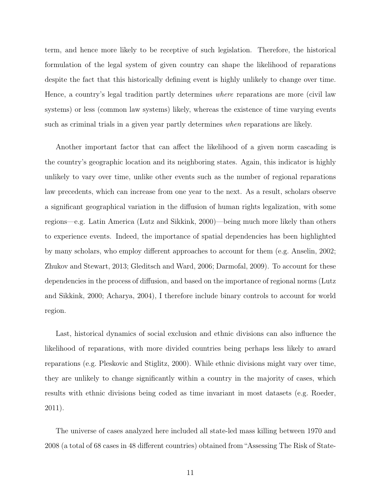term, and hence more likely to be receptive of such legislation. Therefore, the historical formulation of the legal system of given country can shape the likelihood of reparations despite the fact that this historically defining event is highly unlikely to change over time. Hence, a country's legal tradition partly determines where reparations are more (civil law systems) or less (common law systems) likely, whereas the existence of time varying events such as criminal trials in a given year partly determines when reparations are likely.

Another important factor that can affect the likelihood of a given norm cascading is the country's geographic location and its neighboring states. Again, this indicator is highly unlikely to vary over time, unlike other events such as the number of regional reparations law precedents, which can increase from one year to the next. As a result, scholars observe a significant geographical variation in the diffusion of human rights legalization, with some regions—e.g. Latin America (Lutz and Sikkink, 2000)—being much more likely than others to experience events. Indeed, the importance of spatial dependencies has been highlighted by many scholars, who employ different approaches to account for them (e.g. Anselin, 2002; Zhukov and Stewart, 2013; Gleditsch and Ward, 2006; Darmofal, 2009). To account for these dependencies in the process of diffusion, and based on the importance of regional norms (Lutz and Sikkink, 2000; Acharya, 2004), I therefore include binary controls to account for world region.

Last, historical dynamics of social exclusion and ethnic divisions can also influence the likelihood of reparations, with more divided countries being perhaps less likely to award reparations (e.g. Pleskovic and Stiglitz, 2000). While ethnic divisions might vary over time, they are unlikely to change significantly within a country in the majority of cases, which results with ethnic divisions being coded as time invariant in most datasets (e.g. Roeder, 2011).

The universe of cases analyzed here included all state-led mass killing between 1970 and 2008 (a total of 68 cases in 48 different countries) obtained from "Assessing The Risk of State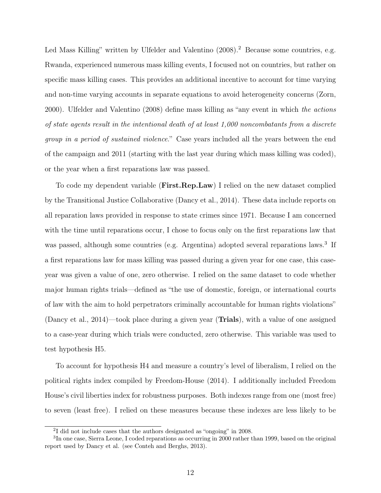Led Mass Killing" written by Ulfelder and Valentino (2008).<sup>2</sup> Because some countries, e.g. Rwanda, experienced numerous mass killing events, I focused not on countries, but rather on specific mass killing cases. This provides an additional incentive to account for time varying and non-time varying accounts in separate equations to avoid heterogeneity concerns (Zorn, 2000). Ulfelder and Valentino (2008) define mass killing as "any event in which the actions of state agents result in the intentional death of at least  $1,000$  noncombatants from a discrete group in a period of sustained violence." Case years included all the years between the end of the campaign and 2011 (starting with the last year during which mass killing was coded), or the year when a first reparations law was passed.

To code my dependent variable (**First.Rep.Law**) I relied on the new dataset complied by the Transitional Justice Collaborative (Dancy et al., 2014). These data include reports on all reparation laws provided in response to state crimes since 1971. Because I am concerned with the time until reparations occur, I chose to focus only on the first reparations law that was passed, although some countries (e.g. Argentina) adopted several reparations laws.<sup>3</sup> If a first reparations law for mass killing was passed during a given year for one case, this caseyear was given a value of one, zero otherwise. I relied on the same dataset to code whether major human rights trials—defined as "the use of domestic, foreign, or international courts of law with the aim to hold perpetrators criminally accountable for human rights violations" (Dancy et al., 2014)—took place during a given year (Trials), with a value of one assigned to a case-year during which trials were conducted, zero otherwise. This variable was used to test hypothesis H5.

To account for hypothesis H4 and measure a country's level of liberalism, I relied on the political rights index compiled by Freedom-House (2014). I additionally included Freedom House's civil liberties index for robustness purposes. Both indexes range from one (most free) to seven (least free). I relied on these measures because these indexes are less likely to be

<sup>&</sup>lt;sup>2</sup>I did not include cases that the authors designated as "ongoing" in 2008.

<sup>&</sup>lt;sup>3</sup>In one case, Sierra Leone, I coded reparations as occurring in 2000 rather than 1999, based on the original report used by Dancy et al. (see Conteh and Berghs, 2013).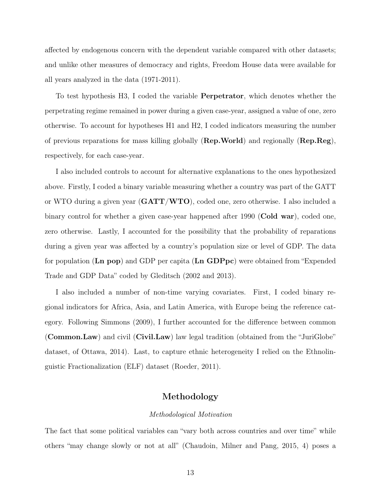affected by endogenous concern with the dependent variable compared with other datasets; and unlike other measures of democracy and rights, Freedom House data were available for all years analyzed in the data (1971-2011).

To test hypothesis H3, I coded the variable Perpetrator, which denotes whether the perpetrating regime remained in power during a given case-year, assigned a value of one, zero otherwise. To account for hypotheses H1 and H2, I coded indicators measuring the number of previous reparations for mass killing globally ( $\mathbf{Rep.World}$ ) and regionally ( $\mathbf{Rep} \cdot \mathbf{Reg}$ ), respectively, for each case-year.

I also included controls to account for alternative explanations to the ones hypothesized above. Firstly, I coded a binary variable measuring whether a country was part of the GATT or WTO during a given year (GATT/WTO), coded one, zero otherwise. I also included a binary control for whether a given case-year happened after 1990 (**Cold war**), coded one, zero otherwise. Lastly, I accounted for the possibility that the probability of reparations during a given year was affected by a country's population size or level of GDP. The data for population (Ln pop) and GDP per capita (Ln GDPpc) were obtained from "Expended Trade and GDP Data" coded by Gleditsch (2002 and 2013).

I also included a number of non-time varying covariates. First, I coded binary regional indicators for Africa, Asia, and Latin America, with Europe being the reference category. Following Simmons (2009), I further accounted for the difference between common (Common.Law) and civil (Civil.Law) law legal tradition (obtained from the "JuriGlobe" dataset, of Ottawa, 2014). Last, to capture ethnic heterogeneity I relied on the Ethnolinguistic Fractionalization (ELF) dataset (Roeder, 2011).

## Methodology

#### Methodological Motivation

The fact that some political variables can "vary both across countries and over time" while others "may change slowly or not at all" (Chaudoin, Milner and Pang, 2015, 4) poses a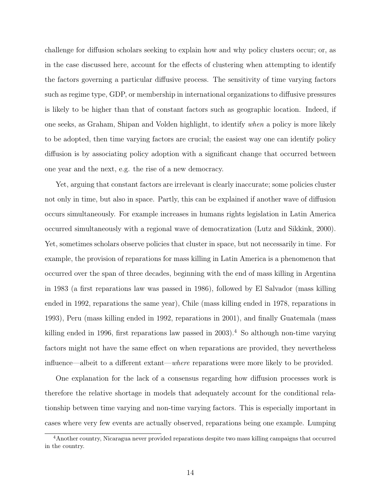challenge for diffusion scholars seeking to explain how and why policy clusters occur; or, as in the case discussed here, account for the effects of clustering when attempting to identify the factors governing a particular diffusive process. The sensitivity of time varying factors such as regime type, GDP, or membership in international organizations to diffusive pressures is likely to be higher than that of constant factors such as geographic location. Indeed, if one seeks, as Graham, Shipan and Volden highlight, to identify when a policy is more likely to be adopted, then time varying factors are crucial; the easiest way one can identify policy diffusion is by associating policy adoption with a significant change that occurred between one year and the next, e.g. the rise of a new democracy.

Yet, arguing that constant factors are irrelevant is clearly inaccurate; some policies cluster not only in time, but also in space. Partly, this can be explained if another wave of diffusion occurs simultaneously. For example increases in humans rights legislation in Latin America occurred simultaneously with a regional wave of democratization (Lutz and Sikkink, 2000). Yet, sometimes scholars observe policies that cluster in space, but not necessarily in time. For example, the provision of reparations for mass killing in Latin America is a phenomenon that occurred over the span of three decades, beginning with the end of mass killing in Argentina in 1983 (a first reparations law was passed in 1986), followed by El Salvador (mass killing ended in 1992, reparations the same year), Chile (mass killing ended in 1978, reparations in 1993), Peru (mass killing ended in 1992, reparations in 2001), and finally Guatemala (mass killing ended in 1996, first reparations law passed in  $2003$ .<sup>4</sup> So although non-time varying factors might not have the same effect on when reparations are provided, they nevertheless influence—albeit to a different extant—where reparations were more likely to be provided.

One explanation for the lack of a consensus regarding how diffusion processes work is therefore the relative shortage in models that adequately account for the conditional relationship between time varying and non-time varying factors. This is especially important in cases where very few events are actually observed, reparations being one example. Lumping

<sup>4</sup>Another country, Nicaragua never provided reparations despite two mass killing campaigns that occurred in the country.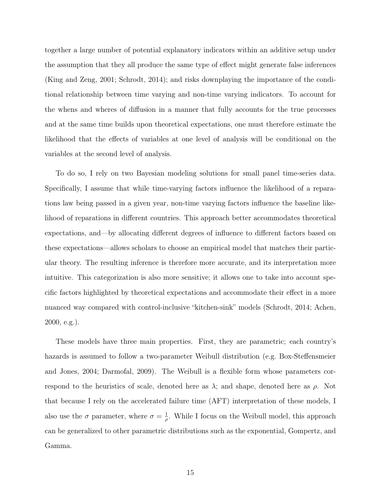together a large number of potential explanatory indicators within an additive setup under the assumption that they all produce the same type of effect might generate false inferences (King and Zeng, 2001; Schrodt, 2014); and risks downplaying the importance of the conditional relationship between time varying and non-time varying indicators. To account for the whens and wheres of diffusion in a manner that fully accounts for the true processes and at the same time builds upon theoretical expectations, one must therefore estimate the likelihood that the effects of variables at one level of analysis will be conditional on the variables at the second level of analysis.

To do so, I rely on two Bayesian modeling solutions for small panel time-series data. Specifically, I assume that while time-varying factors influence the likelihood of a reparations law being passed in a given year, non-time varying factors influence the baseline likelihood of reparations in different countries. This approach better accommodates theoretical expectations, and—by allocating different degrees of influence to different factors based on these expectations—allows scholars to choose an empirical model that matches their particular theory. The resulting inference is therefore more accurate, and its interpretation more intuitive. This categorization is also more sensitive; it allows one to take into account specific factors highlighted by theoretical expectations and accommodate their effect in a more nuanced way compared with control-inclusive "kitchen-sink" models (Schrodt, 2014; Achen, 2000, e.g.).

These models have three main properties. First, they are parametric; each country's hazards is assumed to follow a two-parameter Weibull distribution (e.g. Box-Steffensmeier and Jones, 2004; Darmofal, 2009). The Weibull is a flexible form whose parameters correspond to the heuristics of scale, denoted here as  $\lambda$ ; and shape, denoted here as  $\rho$ . Not that because I rely on the accelerated failure time (AFT) interpretation of these models, I also use the  $\sigma$  parameter, where  $\sigma = \frac{1}{\sigma}$  $\frac{1}{\rho}$ . While I focus on the Weibull model, this approach can be generalized to other parametric distributions such as the exponential, Gompertz, and Gamma.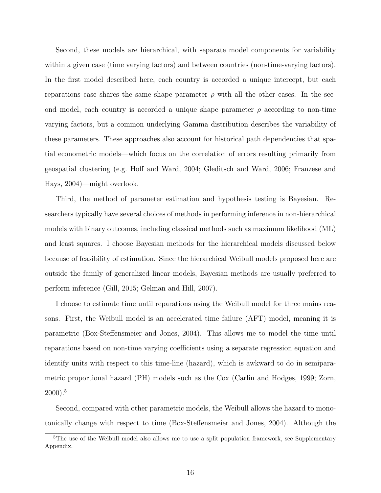Second, these models are hierarchical, with separate model components for variability within a given case (time varying factors) and between countries (non-time-varying factors). In the first model described here, each country is accorded a unique intercept, but each reparations case shares the same shape parameter  $\rho$  with all the other cases. In the second model, each country is accorded a unique shape parameter  $\rho$  according to non-time varying factors, but a common underlying Gamma distribution describes the variability of these parameters. These approaches also account for historical path dependencies that spatial econometric models—which focus on the correlation of errors resulting primarily from geospatial clustering (e.g. Hoff and Ward, 2004; Gleditsch and Ward, 2006; Franzese and Hays, 2004)—might overlook.

Third, the method of parameter estimation and hypothesis testing is Bayesian. Researchers typically have several choices of methods in performing inference in non-hierarchical models with binary outcomes, including classical methods such as maximum likelihood (ML) and least squares. I choose Bayesian methods for the hierarchical models discussed below because of feasibility of estimation. Since the hierarchical Weibull models proposed here are outside the family of generalized linear models, Bayesian methods are usually preferred to perform inference (Gill, 2015; Gelman and Hill, 2007).

I choose to estimate time until reparations using the Weibull model for three mains reasons. First, the Weibull model is an accelerated time failure (AFT) model, meaning it is parametric (Box-Steffensmeier and Jones, 2004). This allows me to model the time until reparations based on non-time varying coefficients using a separate regression equation and identify units with respect to this time-line (hazard), which is awkward to do in semiparametric proportional hazard (PH) models such as the Cox (Carlin and Hodges, 1999; Zorn,  $2000$ ).<sup>5</sup>

Second, compared with other parametric models, the Weibull allows the hazard to monotonically change with respect to time (Box-Steffensmeier and Jones, 2004). Although the

<sup>&</sup>lt;sup>5</sup>The use of the Weibull model also allows me to use a split population framework, see Supplementary Appendix.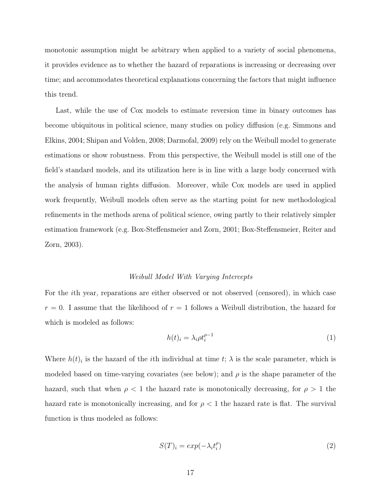monotonic assumption might be arbitrary when applied to a variety of social phenomena, it provides evidence as to whether the hazard of reparations is increasing or decreasing over time; and accommodates theoretical explanations concerning the factors that might influence this trend.

Last, while the use of Cox models to estimate reversion time in binary outcomes has become ubiquitous in political science, many studies on policy diffusion (e.g. Simmons and Elkins, 2004; Shipan and Volden, 2008; Darmofal, 2009) rely on the Weibull model to generate estimations or show robustness. From this perspective, the Weibull model is still one of the field's standard models, and its utilization here is in line with a large body concerned with the analysis of human rights diffusion. Moreover, while Cox models are used in applied work frequently, Weibull models often serve as the starting point for new methodological refinements in the methods arena of political science, owing partly to their relatively simpler estimation framework (e.g. Box-Steffensmeier and Zorn, 2001; Box-Steffensmeier, Reiter and Zorn, 2003).

#### Weibull Model With Varying Intercepts

For the ith year, reparations are either observed or not observed (censored), in which case  $r = 0$ . I assume that the likelihood of  $r = 1$  follows a Weibull distribution, the hazard for which is modeled as follows:

$$
h(t)_i = \lambda_i \rho t_i^{\rho - 1} \tag{1}
$$

Where  $h(t)$  is the hazard of the *i*th individual at time  $t$ ;  $\lambda$  is the scale parameter, which is modeled based on time-varying covariates (see below); and  $\rho$  is the shape parameter of the hazard, such that when  $\rho < 1$  the hazard rate is monotonically decreasing, for  $\rho > 1$  the hazard rate is monotonically increasing, and for  $\rho < 1$  the hazard rate is flat. The survival function is thus modeled as follows:

$$
S(T)_i = exp(-\lambda_i t_i^{\rho})
$$
\n(2)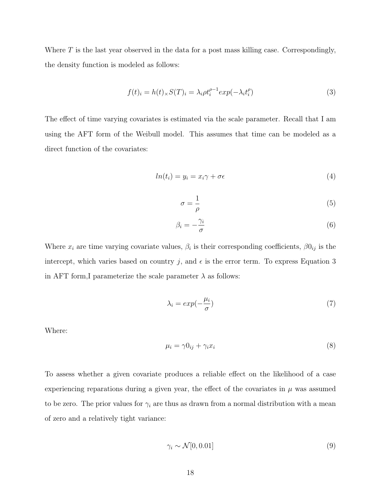Where  $T$  is the last year observed in the data for a post mass killing case. Correspondingly, the density function is modeled as follows:

$$
f(t)_i = h(t)_\times S(T)_i = \lambda_i \rho t_i^{\rho - 1} exp(-\lambda_i t_i^{\rho})
$$
\n(3)

The effect of time varying covariates is estimated via the scale parameter. Recall that I am using the AFT form of the Weibull model. This assumes that time can be modeled as a direct function of the covariates:

$$
ln(t_i) = y_i = x_i \gamma + \sigma \epsilon \tag{4}
$$

$$
\sigma = \frac{1}{\rho} \tag{5}
$$

$$
\beta_i = -\frac{\gamma_i}{\sigma} \tag{6}
$$

Where  $x_i$  are time varying covariate values,  $\beta_i$  is their corresponding coefficients,  $\beta 0_{ij}$  is the intercept, which varies based on country j, and  $\epsilon$  is the error term. To express Equation 3 in AFT form, I parameterize the scale parameter  $\lambda$  as follows:

$$
\lambda_i = \exp(-\frac{\mu_i}{\sigma})\tag{7}
$$

Where:

$$
\mu_i = \gamma 0_{ij} + \gamma_i x_i \tag{8}
$$

To assess whether a given covariate produces a reliable effect on the likelihood of a case experiencing reparations during a given year, the effect of the covariates in  $\mu$  was assumed to be zero. The prior values for  $\gamma_i$  are thus as drawn from a normal distribution with a mean of zero and a relatively tight variance:

$$
\gamma_i \sim \mathcal{N}[0, 0.01] \tag{9}
$$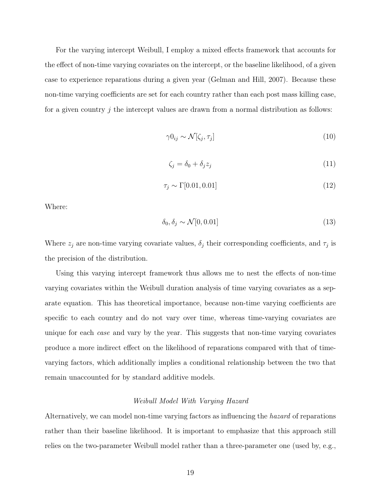For the varying intercept Weibull, I employ a mixed effects framework that accounts for the effect of non-time varying covariates on the intercept, or the baseline likelihood, of a given case to experience reparations during a given year (Gelman and Hill, 2007). Because these non-time varying coefficients are set for each country rather than each post mass killing case, for a given country  $j$  the intercept values are drawn from a normal distribution as follows:

$$
\gamma 0_{ij} \sim \mathcal{N}[\zeta_j, \tau_j] \tag{10}
$$

$$
\zeta_j = \delta_0 + \delta_j z_j \tag{11}
$$

$$
\tau_j \sim \Gamma[0.01, 0.01] \tag{12}
$$

Where:

$$
\delta_0, \delta_j \sim \mathcal{N}[0, 0.01] \tag{13}
$$

Where  $z_j$  are non-time varying covariate values,  $\delta_j$  their corresponding coefficients, and  $\tau_j$  is the precision of the distribution.

Using this varying intercept framework thus allows me to nest the effects of non-time varying covariates within the Weibull duration analysis of time varying covariates as a separate equation. This has theoretical importance, because non-time varying coefficients are specific to each country and do not vary over time, whereas time-varying covariates are unique for each case and vary by the year. This suggests that non-time varying covariates produce a more indirect effect on the likelihood of reparations compared with that of timevarying factors, which additionally implies a conditional relationship between the two that remain unaccounted for by standard additive models.

#### Weibull Model With Varying Hazard

Alternatively, we can model non-time varying factors as influencing the hazard of reparations rather than their baseline likelihood. It is important to emphasize that this approach still relies on the two-parameter Weibull model rather than a three-parameter one (used by, e.g.,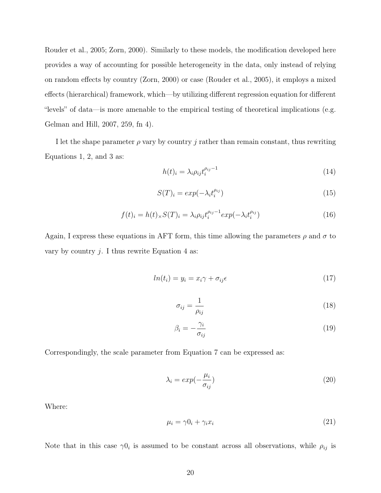Rouder et al., 2005; Zorn, 2000). Similarly to these models, the modification developed here provides a way of accounting for possible heterogeneity in the data, only instead of relying on random effects by country (Zorn, 2000) or case (Rouder et al., 2005), it employs a mixed effects (hierarchical) framework, which—by utilizing different regression equation for different "levels" of data—is more amenable to the empirical testing of theoretical implications (e.g. Gelman and Hill, 2007, 259, fn 4).

I let the shape parameter  $\rho$  vary by country j rather than remain constant, thus rewriting Equations 1, 2, and 3 as:

$$
h(t)_i = \lambda_i \rho_{ij} t_i^{\rho_{ij}-1} \tag{14}
$$

$$
S(T)_i = exp(-\lambda_i t_i^{\rho_{ij}})
$$
\n(15)

$$
f(t)_i = h(t)_\times S(T)_i = \lambda_i \rho_{ij} t_i^{\rho_{ij}-1} exp(-\lambda_i t_i^{\rho_{ij}})
$$
\n(16)

Again, I express these equations in AFT form, this time allowing the parameters  $\rho$  and  $\sigma$  to vary by country  $j$ . I thus rewrite Equation 4 as:

$$
ln(t_i) = y_i = x_i \gamma + \sigma_{ij}\epsilon
$$
\n<sup>(17)</sup>

$$
\sigma_{ij} = \frac{1}{\rho_{ij}}\tag{18}
$$

$$
\beta_i = -\frac{\gamma_i}{\sigma_{ij}}\tag{19}
$$

Correspondingly, the scale parameter from Equation 7 can be expressed as:

$$
\lambda_i = exp(-\frac{\mu_i}{\sigma_{ij}}) \tag{20}
$$

Where:

$$
\mu_i = \gamma 0_i + \gamma_i x_i \tag{21}
$$

Note that in this case  $\gamma 0_i$  is assumed to be constant across all observations, while  $\rho_{ij}$  is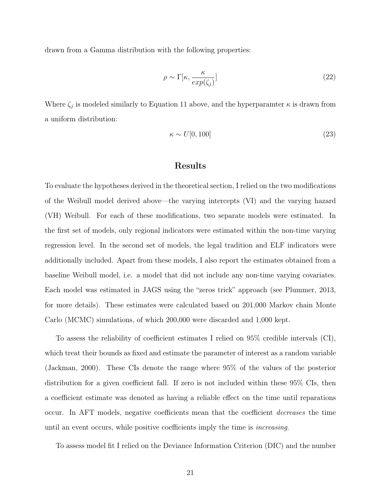drawn from a Gamma distribution with the following properties:

$$
\rho \sim \Gamma[\kappa, \frac{\kappa}{exp(\zeta_j)}]
$$
\n(22)

Where  $\zeta_j$  is modeled similarly to Equation 11 above, and the hyperparamter  $\kappa$  is drawn from a uniform distribution:

$$
\kappa \sim U[0, 100] \tag{23}
$$

## Results

To evaluate the hypotheses derived in the theoretical section, I relied on the two modifications of the Weibull model derived above—the varying intercepts (VI) and the varying hazard (VH) Weibull. For each of these modifications, two separate models were estimated. In the first set of models, only regional indicators were estimated within the non-time varying regression level. In the second set of models, the legal tradition and ELF indicators were additionally included. Apart from these models, I also report the estimates obtained from a baseline Weibull model, i.e. a model that did not include any non-time varying covariates. Each model was estimated in JAGS using the "zeros trick" approach (see Plummer, 2013, for more details). These estimates were calculated based on 201,000 Markov chain Monte Carlo (MCMC) simulations, of which 200,000 were discarded and 1,000 kept.

To assess the reliability of coefficient estimates I relied on 95% credible intervals (CI), which treat their bounds as fixed and estimate the parameter of interest as a random variable (Jackman, 2000). These CIs denote the range where 95% of the values of the posterior distribution for a given coefficient fall. If zero is not included within these 95% CIs, then a coefficient estimate was denoted as having a reliable effect on the time until reparations occur. In AFT models, negative coefficients mean that the coefficient decreases the time until an event occurs, while positive coefficients imply the time is increasing.

To assess model fit I relied on the Deviance Information Criterion (DIC) and the number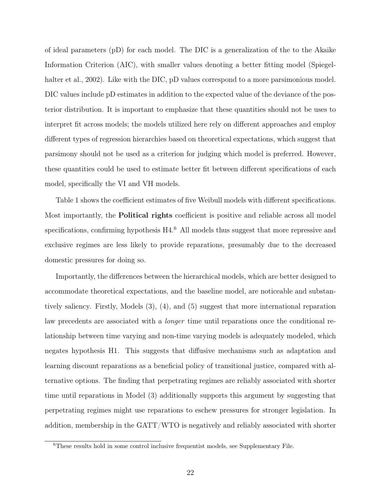of ideal parameters (pD) for each model. The DIC is a generalization of the to the Akaike Information Criterion (AIC), with smaller values denoting a better fitting model (Spiegelhalter et al., 2002). Like with the DIC, pD values correspond to a more parsimonious model. DIC values include pD estimates in addition to the expected value of the deviance of the posterior distribution. It is important to emphasize that these quantities should not be uses to interpret fit across models; the models utilized here rely on different approaches and employ different types of regression hierarchies based on theoretical expectations, which suggest that parsimony should not be used as a criterion for judging which model is preferred. However, these quantities could be used to estimate better fit between different specifications of each model, specifically the VI and VH models.

Table 1 shows the coefficient estimates of five Weibull models with different specifications. Most importantly, the Political rights coefficient is positive and reliable across all model specifications, confirming hypothesis H4.<sup>6</sup> All models thus suggest that more repressive and exclusive regimes are less likely to provide reparations, presumably due to the decreased domestic pressures for doing so.

Importantly, the differences between the hierarchical models, which are better designed to accommodate theoretical expectations, and the baseline model, are noticeable and substantively saliency. Firstly, Models (3), (4), and (5) suggest that more international reparation law precedents are associated with a *longer* time until reparations once the conditional relationship between time varying and non-time varying models is adequately modeled, which negates hypothesis H1. This suggests that diffusive mechanisms such as adaptation and learning discount reparations as a beneficial policy of transitional justice, compared with alternative options. The finding that perpetrating regimes are reliably associated with shorter time until reparations in Model (3) additionally supports this argument by suggesting that perpetrating regimes might use reparations to eschew pressures for stronger legislation. In addition, membership in the GATT/WTO is negatively and reliably associated with shorter

<sup>6</sup>These results hold in some control inclusive frequentist models, see Supplementary File.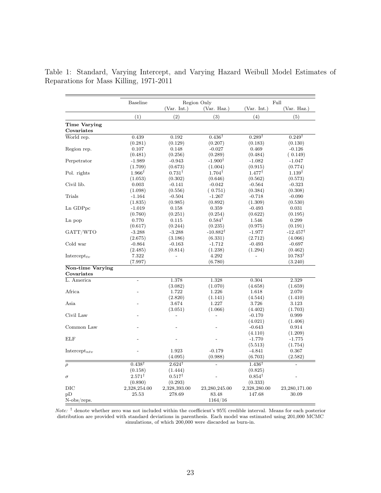|                            | <b>Baseline</b>   | Region Only       |                     | Full              |                     |
|----------------------------|-------------------|-------------------|---------------------|-------------------|---------------------|
|                            |                   | (Var. Int.)       | (Var. Haz.)         | (Var. Int.)       | (Var. Haz.)         |
|                            | (1)               | (2)               | (3)                 | (4)               | (5)                 |
| Time Varying<br>Covariates |                   |                   |                     |                   |                     |
| World rep.                 | 0.439             | 0.192             | $0.436^{\dagger}$   | $0.289^{\dagger}$ | $0.249^{\dagger}$   |
|                            | (0.281)           | (0.129)           | (0.207)             | (0.183)           | (0.130)             |
| Region rep.                | 0.107             | 0.148             | $-0.027$            | 0.469             | $-0.126$            |
|                            | (0.481)           | (0.256)           | (0.289)             | (0.484)           | (0.149)             |
| Perpetrator                | $-1.989$          | $-0.943$          | $-1.900^{\dagger}$  | $-1.082$          | $-1.047$            |
|                            | (1.709)           | (0.673)           | (1.004)             | (0.915)           | (0.774)             |
| Pol. rights                | $1.966^{\dagger}$ | $0.731^{\dagger}$ | $1.704^{\dagger}$   | $1.477^{\dagger}$ | $1.139^{\dagger}$   |
|                            | (1.053)           | (0.302)           | (0.646)             | (0.562)           | (0.573)             |
| Civil lib.                 | 0.003             | $-0.141$          | $-0.042$            | $-0.564$          | $-0.323$            |
|                            | (1.098)           | (0.556)           | (0.751)             | (0.384)           | (0.308)             |
| Trials                     | $-1.164$          | $-0.504$          | $-1.267$            | $-0.718$          | $-0.090$            |
|                            | (1.835)           | (0.985)           | (0.892)             | (1.309)           | (0.530)             |
| Ln GDPpc                   | $-1.019$          | 0.158             | 0.359               | $-0.493$          | 0.031               |
|                            | (0.760)           | (0.251)           | (0.254)             | (0.622)           | (0.195)             |
| Ln pop                     | 0.770             | 0.115             | $0.584^{\dagger}$   | 1.546             | 0.299               |
|                            | (0.617)           | (0.244)           | (0.235)             | (0.975)           | (0.191)             |
| GATT/WTO                   | $-3.288$          | $-3.288$          | $-10.882^{\dagger}$ | $-1.977$          | $-12.457^{\dagger}$ |
|                            | (2.675)           | (3.186)           | (6.331)             | (2.712)           | (4.066)             |
| Cold war                   | $-0.864$          | $-0.163$          | $-1.712$            | $-0.493$          | $-0.697$            |
|                            | (2.485)           | (0.814)           | (1.238)             | (1.294)           | (0.462)             |
| Intercept <sub>ty</sub>    | 7.322             |                   | 4.292               |                   | $10.783^{\dagger}$  |
|                            | (7.997)           |                   | (6.780)             |                   | (3.240)             |
| Non-time Varying           |                   |                   |                     |                   |                     |
| Covariates                 |                   |                   |                     |                   |                     |
| L. America                 | $\overline{a}$    | 1.378             | 1.328               | 0.304             | 2.329               |
|                            |                   | (3.082)           | (1.070)             | (4.658)           | (1.659)             |
| Africa                     |                   | 1.722             | 1.226               | 1.618             | 2.070               |
|                            |                   | (2.820)           | (1.141)             | (4.544)           | (1.410)             |
| Asia                       |                   | 3.674             | 1.227               | 3.726             | 3.123               |
|                            |                   | (3.051)           | (1.066)             | (4.402)           | (1.703)             |
| Civil Law                  |                   |                   | $\overline{a}$      | $-0.170$          | 0.999               |
|                            |                   |                   |                     | (4.021)           | (1.406)             |
| Common Law                 |                   |                   |                     | $-0.643$          | 0.914               |
|                            |                   |                   |                     | (4.110)           | (1.209)             |
| <b>ELF</b>                 |                   |                   |                     | $-1.770$          | $-1.775$            |
|                            |                   |                   |                     | (5.513)           | (1.754)             |
| Intercept <sub>nty</sub>   |                   | 1.923             | $-0.179$            | $-4.841$          | 0.367               |
|                            |                   | (4.095)           | (0.988)             | (6.703)           | (2.582)             |
|                            |                   |                   |                     |                   |                     |
| $\rho$                     | $0.438^{\dagger}$ | $2.624^{\dagger}$ |                     | $1.436^{\dagger}$ |                     |
|                            | (0.158)           | (1.444)           |                     | (0.825)           |                     |
| $\sigma$                   | $2.571^{\dagger}$ | $0.517^{\dagger}$ |                     | $0.854^{\dagger}$ |                     |
|                            | (0.890)           | (0.293)           |                     | (0.333)           |                     |
| $_{\rm DIC}$               | 2,328,254.00      | 2,328,393.00      | 23,280,245.00       | 2,328,280.00      | 23,280,171.00       |
| pD                         | 25.53             | 278.69            | $83.48\,$           | 147.68            | 30.09               |
| $N$ -obs/reps.             |                   |                   | 1164/16             |                   |                     |

Table 1: Standard, Varying Intercept, and Varying Hazard Weibull Model Estimates of Reparations for Mass Killing, 1971-2011

Note:  $\dagger$  denote whether zero was not included within the coefficient's 95% credible interval. Means for each posterior distribution are provided with standard deviations in parenthesis. Each model was estimated using 201,000 MCMC simulations, of which 200,000 were discarded as burn-in.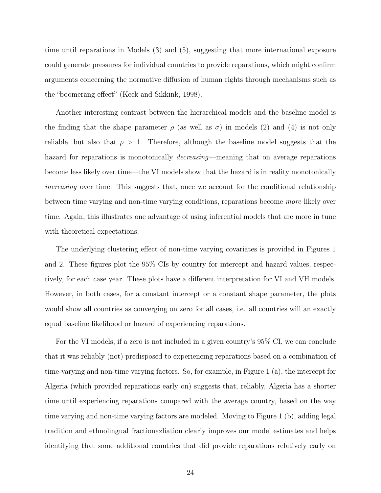time until reparations in Models (3) and (5), suggesting that more international exposure could generate pressures for individual countries to provide reparations, which might confirm arguments concerning the normative diffusion of human rights through mechanisms such as the "boomerang effect" (Keck and Sikkink, 1998).

Another interesting contrast between the hierarchical models and the baseline model is the finding that the shape parameter  $\rho$  (as well as  $\sigma$ ) in models (2) and (4) is not only reliable, but also that  $\rho > 1$ . Therefore, although the baseline model suggests that the hazard for reparations is monotonically *decreasing*—meaning that on average reparations become less likely over time—the VI models show that the hazard is in reality monotonically increasing over time. This suggests that, once we account for the conditional relationship between time varying and non-time varying conditions, reparations become more likely over time. Again, this illustrates one advantage of using inferential models that are more in tune with theoretical expectations.

The underlying clustering effect of non-time varying covariates is provided in Figures 1 and 2. These figures plot the 95% CIs by country for intercept and hazard values, respectively, for each case year. These plots have a different interpretation for VI and VH models. However, in both cases, for a constant intercept or a constant shape parameter, the plots would show all countries as converging on zero for all cases, i.e. all countries will an exactly equal baseline likelihood or hazard of experiencing reparations.

For the VI models, if a zero is not included in a given country's 95% CI, we can conclude that it was reliably (not) predisposed to experiencing reparations based on a combination of time-varying and non-time varying factors. So, for example, in Figure 1 (a), the intercept for Algeria (which provided reparations early on) suggests that, reliably, Algeria has a shorter time until experiencing reparations compared with the average country, based on the way time varying and non-time varying factors are modeled. Moving to Figure 1 (b), adding legal tradition and ethnolingual fractionazliation clearly improves our model estimates and helps identifying that some additional countries that did provide reparations relatively early on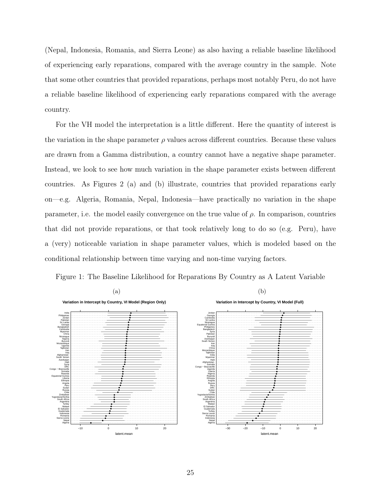(Nepal, Indonesia, Romania, and Sierra Leone) as also having a reliable baseline likelihood of experiencing early reparations, compared with the average country in the sample. Note that some other countries that provided reparations, perhaps most notably Peru, do not have a reliable baseline likelihood of experiencing early reparations compared with the average country.

For the VH model the interpretation is a little different. Here the quantity of interest is the variation in the shape parameter  $\rho$  values across different countries. Because these values are drawn from a Gamma distribution, a country cannot have a negative shape parameter. Instead, we look to see how much variation in the shape parameter exists between different countries. As Figures 2 (a) and (b) illustrate, countries that provided reparations early on—e.g. Algeria, Romania, Nepal, Indonesia—have practically no variation in the shape parameter, i.e. the model easily convergence on the true value of  $\rho$ . In comparison, countries that did not provide reparations, or that took relatively long to do so (e.g. Peru), have a (very) noticeable variation in shape parameter values, which is modeled based on the conditional relationship between time varying and non-time varying factors.



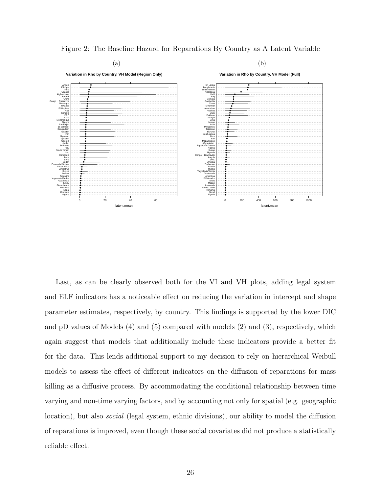

Figure 2: The Baseline Hazard for Reparations By Country as A Latent Variable

Last, as can be clearly observed both for the VI and VH plots, adding legal system and ELF indicators has a noticeable effect on reducing the variation in intercept and shape parameter estimates, respectively, by country. This findings is supported by the lower DIC and pD values of Models (4) and (5) compared with models (2) and (3), respectively, which again suggest that models that additionally include these indicators provide a better fit for the data. This lends additional support to my decision to rely on hierarchical Weibull models to assess the effect of different indicators on the diffusion of reparations for mass killing as a diffusive process. By accommodating the conditional relationship between time varying and non-time varying factors, and by accounting not only for spatial (e.g. geographic location), but also *social* (legal system, ethnic divisions), our ability to model the diffusion of reparations is improved, even though these social covariates did not produce a statistically reliable effect.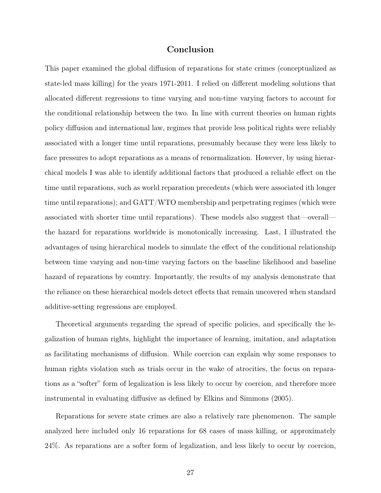## Conclusion

This paper examined the global diffusion of reparations for state crimes (conceptualized as state-led mass killing) for the years 1971-2011. I relied on different modeling solutions that allocated different regressions to time varying and non-time varying factors to account for the conditional relationship between the two. In line with current theories on human rights policy diffusion and international law, regimes that provide less political rights were reliably associated with a longer time until reparations, presumably because they were less likely to face pressures to adopt reparations as a means of renormalization. However, by using hierarchical models I was able to identify additional factors that produced a reliable effect on the time until reparations, such as world reparation precedents (which were associated ith longer time until reparations); and GATT/WTO membership and perpetrating regimes (which were associated with shorter time until reparations). These models also suggest that—overall the hazard for reparations worldwide is monotonically increasing. Last, I illustrated the advantages of using hierarchical models to simulate the effect of the conditional relationship between time varying and non-time varying factors on the baseline likelihood and baseline hazard of reparations by country. Importantly, the results of my analysis demonstrate that the reliance on these hierarchical models detect effects that remain uncovered when standard additive-setting regressions are employed.

Theoretical arguments regarding the spread of specific policies, and specifically the legalization of human rights, highlight the importance of learning, imitation, and adaptation as facilitating mechanisms of diffusion. While coercion can explain why some responses to human rights violation such as trials occur in the wake of atrocities, the focus on reparations as a "softer" form of legalization is less likely to occur by coercion, and therefore more instrumental in evaluating diffusive as defined by Elkins and Simmons (2005).

Reparations for severe state crimes are also a relatively rare phenomenon. The sample analyzed here included only 16 reparations for 68 cases of mass killing, or approximately 24%. As reparations are a softer form of legalization, and less likely to occur by coercion,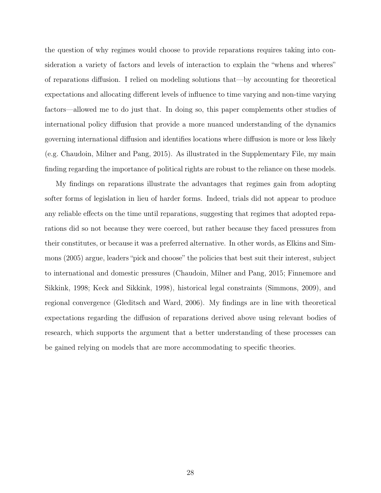the question of why regimes would choose to provide reparations requires taking into consideration a variety of factors and levels of interaction to explain the "whens and wheres" of reparations diffusion. I relied on modeling solutions that—by accounting for theoretical expectations and allocating different levels of influence to time varying and non-time varying factors—allowed me to do just that. In doing so, this paper complements other studies of international policy diffusion that provide a more nuanced understanding of the dynamics governing international diffusion and identifies locations where diffusion is more or less likely (e.g. Chaudoin, Milner and Pang, 2015). As illustrated in the Supplementary File, my main finding regarding the importance of political rights are robust to the reliance on these models.

My findings on reparations illustrate the advantages that regimes gain from adopting softer forms of legislation in lieu of harder forms. Indeed, trials did not appear to produce any reliable effects on the time until reparations, suggesting that regimes that adopted reparations did so not because they were coerced, but rather because they faced pressures from their constitutes, or because it was a preferred alternative. In other words, as Elkins and Simmons (2005) argue, leaders "pick and choose" the policies that best suit their interest, subject to international and domestic pressures (Chaudoin, Milner and Pang, 2015; Finnemore and Sikkink, 1998; Keck and Sikkink, 1998), historical legal constraints (Simmons, 2009), and regional convergence (Gleditsch and Ward, 2006). My findings are in line with theoretical expectations regarding the diffusion of reparations derived above using relevant bodies of research, which supports the argument that a better understanding of these processes can be gained relying on models that are more accommodating to specific theories.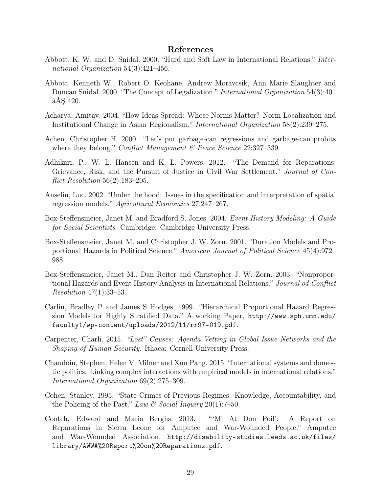## References

- Abbott, K. W. and D. Snidal. 2000. "Hard and Soft Law in International Relations." International Organization 54(3):421–456.
- Abbott, Kenneth W., Robert O. Keohane, Andrew Moravcsik, Ann Marie Slaughter and Duncan Snidal. 2000. "The Concept of Legalization." International Organization 54(3):401 âĂŞ 420.
- Acharya, Amitav. 2004. "How Ideas Spread: Whose Norms Matter? Norm Localization and Institutional Change in Asian Regionalism." International Organization 58(2):239–275.
- Achen, Christopher H. 2000. "Let's put garbage-can regressions and garbage-can probits where they belong." Conflict Management & Peace Science 22:327-339.
- Adhikari, P., W. L. Hansen and K. L. Powers. 2012. "The Demand for Reparations: Grievance, Risk, and the Pursuit of Justice in Civil War Settlement." Journal of Con*flict Resolution*  $56(2):183-205$ .
- Anselin, Luc. 2002. "Under the hood: Issues in the specification and interpretation of spatial regression models." Agricultural Economics 27:247–267.
- Box-Steffensmeier, Janet M. and Bradford S. Jones. 2004. Event History Modeling: A Guide for Social Scientists. Cambridge: Cambridge University Press.
- Box-Steffensmeier, Janet M. and Christopher J. W. Zorn. 2001. "Duration Models and Proportional Hazards in Political Science." American Journal of Political Science 45(4):972– 988.
- Box-Steffensmeier, Janet M., Dan Reiter and Christopher J. W. Zorn. 2003. "Nonproportional Hazards and Event History Analysis in International Relations." Journal od Conflict Resolution 47(1):33–53.
- Carlin, Bradley P and James S Hodges. 1999. "Hierarchical Proportional Hazard Regression Models for Highly Stratified Data." A working Paper, http://www.sph.umn.edu/ faculty1/wp-content/uploads/2012/11/rr97-019.pdf.
- Carpenter, Charli. 2015. "Lost" Causes: Agenda Vetting in Global Issue Networks and the Shaping of Human Security. Ithaca: Cornell University Press.
- Chaudoin, Stephen, Helen V. Milner and Xun Pang. 2015. "International systems and domestic politics: Linking complex interactions with empirical models in international relations." International Organization 69(2):275–309.
- Cohen, Stanley. 1995. "State Crimes of Previous Regimes: Knowledge, Accountability, and the Policing of the Past." Law & Social Inquiry 20(1):7–50.
- Conteh, Edward and Maria Berghs. 2013. "'Mi At Don Poil': A Report on Reparations in Sierra Leone for Amputee and War-Wounded People." Amputee and War-Wounded Association. http://disability-studies.leeds.ac.uk/files/ library/AWWA%20Report%20on%20Reparations.pdf.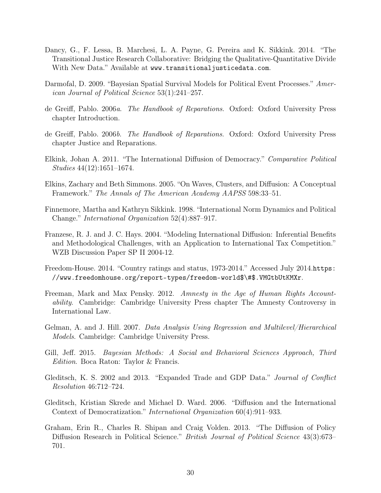- Dancy, G., F. Lessa, B. Marchesi, L. A. Payne, G. Pereira and K. Sikkink. 2014. "The Transitional Justice Research Collaborative: Bridging the Qualitative-Quantitative Divide With New Data." Available at www.transitionaljusticedata.com.
- Darmofal, D. 2009. "Bayesian Spatial Survival Models for Political Event Processes." American Journal of Political Science 53(1):241–257.
- de Greiff, Pablo. 2006a. The Handbook of Reparations. Oxford: Oxford University Press chapter Introduction.
- de Greiff, Pablo. 2006b. The Handbook of Reparations. Oxford: Oxford University Press chapter Justice and Reparations.
- Elkink, Johan A. 2011. "The International Diffusion of Democracy." Comparative Political Studies 44(12):1651–1674.
- Elkins, Zachary and Beth Simmons. 2005. "On Waves, Clusters, and Diffusion: A Conceptual Framework." The Annals of The American Academy AAPSS 598:33–51.
- Finnemore, Martha and Kathryn Sikkink. 1998. "International Norm Dynamics and Political Change." International Organization 52(4):887–917.
- Franzese, R. J. and J. C. Hays. 2004. "Modeling International Diffusion: Inferential Benefits and Methodological Challenges, with an Application to International Tax Competition." WZB Discussion Paper SP II 2004-12.
- Freedom-House. 2014. "Country ratings and status, 1973-2014." Accessed July 2014.https: //www.freedomhouse.org/report-types/freedom-world\$\#\$.VMGtbUtKMXr.
- Freeman, Mark and Max Pensky. 2012. Amnesty in the Age of Human Rights Accountability. Cambridge: Cambridge University Press chapter The Amnesty Controversy in International Law.
- Gelman, A. and J. Hill. 2007. Data Analysis Using Regression and Multilevel/Hierarchical Models. Cambridge: Cambridge University Press.
- Gill, Jeff. 2015. Bayesian Methods: A Social and Behavioral Sciences Approach, Third Edition. Boca Raton: Taylor & Francis.
- Gleditsch, K. S. 2002 and 2013. "Expanded Trade and GDP Data." Journal of Conflict Resolution 46:712–724.
- Gleditsch, Kristian Skrede and Michael D. Ward. 2006. "Diffusion and the International Context of Democratization." International Organization 60(4):911–933.
- Graham, Erin R., Charles R. Shipan and Craig Volden. 2013. "The Diffusion of Policy Diffusion Research in Political Science." *British Journal of Political Science* 43(3):673– 701.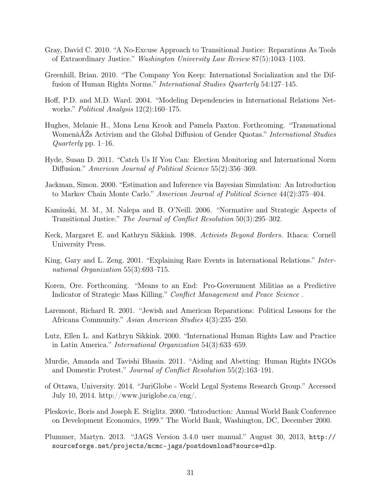- Gray, David C. 2010. "A No-Excuse Approach to Transitional Justice: Reparations As Tools of Extraordinary Justice." Washington University Law Review 87(5):1043–1103.
- Greenhill, Brian. 2010. "The Company You Keep: International Socialization and the Diffusion of Human Rights Norms." International Studies Quarterly 54:127–145.
- Hoff, P.D. and M.D. Ward. 2004. "Modeling Dependencies in International Relations Networks." Political Analysis 12(2):160–175.
- Hughes, Melanie H., Mona Lena Krook and Pamela Paxton. Forthcoming. "Transnational Womenâ $\Delta Z$ s Activism and the Global Diffusion of Gender Quotas." International Studies Quarterly pp. 1–16.
- Hyde, Susan D. 2011. "Catch Us If You Can: Election Monitoring and International Norm Diffusion." American Journal of Political Science 55(2):356–369.
- Jackman, Simon. 2000. "Estimation and Inference via Bayesian Simulation: An Introduction to Markov Chain Monte Carlo." American Journal of Political Science 44(2):375–404.
- Kaminski, M. M., M. Nalepa and B. O'Neill. 2006. "Normative and Strategic Aspects of Transitional Justice." The Journal of Conflict Resolution 50(3):295–302.
- Keck, Margaret E. and Kathryn Sikkink. 1998. Activists Beyond Borders. Ithaca: Cornell University Press.
- King, Gary and L. Zeng. 2001. "Explaining Rare Events in International Relations." International Organization 55(3):693–715.
- Koren, Ore. Forthcoming. "Means to an End: Pro-Government Militias as a Predictive Indicator of Strategic Mass Killing." Conflict Management and Peace Science .
- Laremont, Richard R. 2001. "Jewish and American Reparations: Political Lessons for the Africana Community." Asian American Studies 4(3):235–250.
- Lutz, Ellen L. and Kathryn Sikkink. 2000. "International Human Rights Law and Practice in Latin America." International Organization 54(3):633–659.
- Murdie, Amanda and Tavishi Bhasin. 2011. "Aiding and Abetting: Human Rights INGOs and Domestic Protest." Journal of Conflict Resolution 55(2):163–191.
- of Ottawa, University. 2014. "JuriGlobe World Legal Systems Research Group." Accessed July 10, 2014. http://www.juriglobe.ca/eng/.
- Pleskovic, Boris and Joseph E. Stiglitz. 2000. "Introduction: Annual World Bank Conference on Development Economics, 1999." The World Bank, Washington, DC, December 2000.
- Plummer, Martyn. 2013. "JAGS Version 3.4.0 user manual." August 30, 2013, http:// sourceforge.net/projects/mcmc-jags/postdownload?source=dlp.